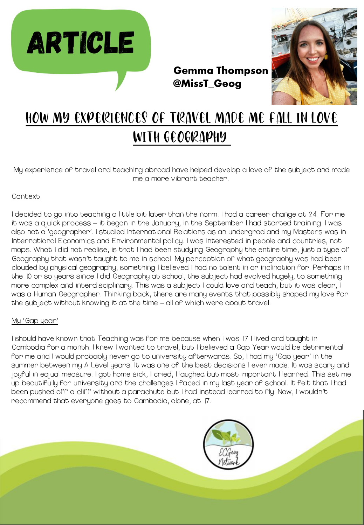



# How my experiences of travel made me fall in love with geography

@MissT\_Geog

My experience of travel and teaching abroad have helped develop a love of the subject and made me a more vibrant teacher.

#### Context

I decided to go into teaching a little bit later than the norm. I had a career change at 24. For me it was a quick process – it began in the January, in the September I had started training. I was also not a 'geographer'. I studied International Relations as an undergrad and my Masters was in International Economics and Environmental policy. I was interested in people and countries, not maps. What I did not realise, is that I had been studying Geography the entire time, just a type of Geography that wasn't taught to me in school. My perception of what geography was had been clouded by physical geography, something I believed I had no talent in or inclination for. Perhaps in the 10 or so years since I did Geography at school, the subject had evolved hugely, to something more complex and interdisciplinary. This was a subject I could love and teach, but it was clear, I was a Human Geographer. Thinking back, there are many events that possibly shaped my love for the subject without knowing it at the time – all of which were about travel.

#### My 'Gap year'

I should have known that Teaching was for me because when I was 17 I lived and taught in Cambodia for a month. I knew I wanted to travel, but I believed a Gap Year would be detrimental for me and I would probably never go to university afterwards. So, I had my 'Gap year' in the summer between my A Level years. It was one of the best decisions I ever made. It was scary and joyful in equal measure. I got home sick, I cried, I laughed but most important I learned. This set me up beautifully for university and the challenges I faced in my last year of school. It felt that I had been pushed off a cliff without a parachute but I had instead learned to fly. Now, I wouldn't recommend that everyone goes to Cambodia, alone, at 17.

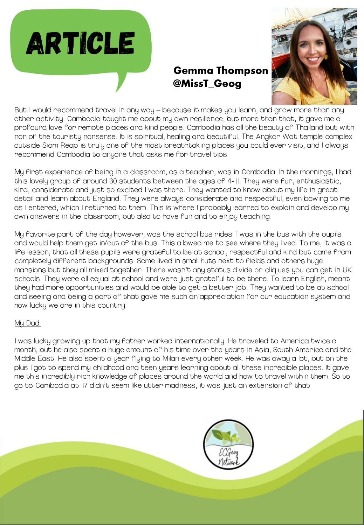



But I would recommend travel in any way – because it makes you learn, and grow more than any other activity. Cambodia taught me about my own resilience, but more than that, it gave me a profound love for remote places and kind people. Cambodia has all the beauty of Thailand but with non of the touristy nonsense. It is spiritual, healing and beautiful. The Angkor Wat temple complex outside Siam Reap is truly one of the most breathtaking places you could ever visit, and I always recommend Cambodia to anyone that asks me for travel tips.

Gemma Thompson

@MissT\_Geog

My first experience of being in a classroom, as a teacher, was in Cambodia. In the mornings, I had this lovely group of around 30 students between the ages of 4-11. They were fun, enthusiastic, kind, considerate and just so excited I was there. They wanted to know about my life in great detail and learn about England. They were always considerate and respectful, even bowing to me as I entered, which I returned to them. This is where I probably learned to explain and develop my own answers in the classroom, but also to have fun and to enjoy teaching.

My favorite part of the day however, was the school bus rides. I was in the bus with the pupils and would help them get in/out of the bus. This allowed me to see where they lived. To me, it was a life lesson, that all these pupils were grateful to be at school, respectful and kind but came from completely different backgrounds. Some lived in small huts next to fields and others huge mansions but they all mixed together. There wasn't any status divide or cliques you can get in UK schools. They were all equal at school and were just grateful to be there. To learn English, meant they had more opportunities and would be able to get a better job. They wanted to be at school and seeing and being a part of that gave me such an appreciation for our education system and how lucky we are in this country.

### My Dad

I was lucky growing up that my father worked internationally. He traveled to America twice a month, but he also spent a huge amount of his time over the years in Asia, South America and the Middle East. He also spent a year flying to Milan every other week. He was away a lot, but on the plus I got to spend my childhood and teen years learning about all these incredible places. It gave me this incredibly rich knowledge of places around the world and how to travel within them. So to go to Cambodia at 17 didn't seem like utter madness, it was just an extension of that.

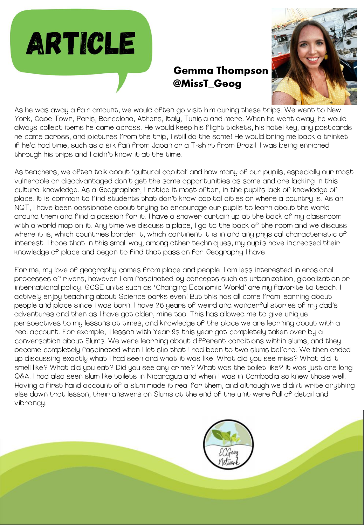

As he was away a fair amount, we would often go visit him during these trips. We went to New York, Cape Town, Paris, Barcelona, Athens, Italy, Tunisia and more. When he went away, he would always collect items he came across. He would keep his flight tickets, his hotel key, any postcards he came across, and pictures from the trip, I still do the same! He would bring me back a trinket if he'd had time, such as a silk fan from Japan or a T-shirt from Brazil. I was being enriched through his trips and I didn't know it at the time.

Gemma Thompson

@MissT\_Geog

As teachers, we often talk about 'cultural capital' and how many of our pupils, especially our most vulnerable or disadvantaged don't get the same opportunities as some and are lacking in this cultural knowledge. As a Geographer, I notice it most often, in the pupil's lack of knowledge of place. It is common to find students that don't know capital cities or where a country is. As an NQT, I have been passionate about trying to encourage our pupils to learn about the world around them and find a passion for it. I have a shower curtain up at the back of my classroom with a world map on it. Any time we discuss a place, I go to the back of the room and we discuss where it is, which countries border it, which continent it is in and any physical characteristic of interest. I hope that in this small way, among other techniques, my pupils have increased their knowledge of place and began to find that passion for Geography I have.

For me, my love of geography comes from place and people. I am less interested in erosional processes of rivers, however I am fascinated by concepts such as urbanization, globalization or international policy. GCSE units such as 'Changing Economic World' are my favorite to teach. I actively enjoy teaching about Science parks even! But this has all come from learning about people and place since I was born. I have 26 years of weird and wonderful stories of my dad's adventures and then as I have got older, mine too. This has allowed me to give unique perspectives to my lessons at times, and knowledge of the place we are learning about with a real account. For example, 1 lesson with Year 9s this year got completely taken over by a conversation about Slums. We were learning about different conditions within slums, and they became completely fascinated when I let slip that I had been to two slums before. We then ended up discussing exactly what I had seen and what it was like. What did you see miss? What did it smell like? What did you eat? Did you see any crime? What was the toilet like? It was just one long Q&A. I had also seen slum like toilets in Nicaragua and when I was in Cambodia so knew those well. Having a first hand account of a slum made it real for them, and although we didn't write anything else down that lesson, their answers on Slums at the end of the unit were full of detail and vibrancy.